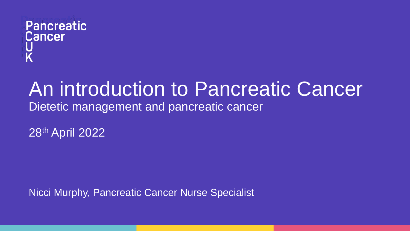## **Pancreatic Cancer** U<br>K

## An introduction to Pancreatic Cancer Dietetic management and pancreatic cancer

28th April 2022

Nicci Murphy, Pancreatic Cancer Nurse Specialist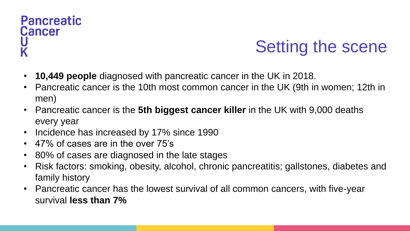# **Pancreatic Cancer**

# Setting the scene

- **10,449 people** diagnosed with pancreatic cancer in the UK in 2018.
- Pancreatic cancer is the 10th most common cancer in the UK (9th in women; 12th in men)
- Pancreatic cancer is the **5th biggest cancer killer** in the UK with 9,000 deaths every year
- Incidence has increased by 17% since 1990
- 47% of cases are in the over 75's
- 80% of cases are diagnosed in the late stages
- Risk factors: smoking, obesity, alcohol, chronic pancreatitis; gallstones, diabetes and family history
- Pancreatic cancer has the lowest survival of all common cancers, with five-year survival **less than 7%**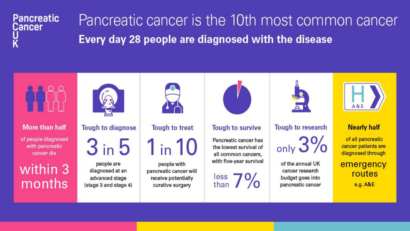

Pancreatic cancer is the 10th most common cancer Every day 28 people are diagnosed with the disease

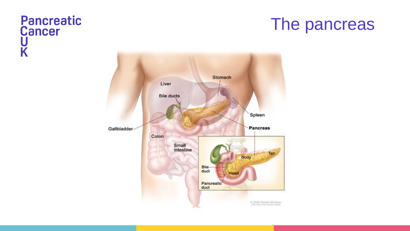## Pancreatic<br>Cancer U K

## The pancreas

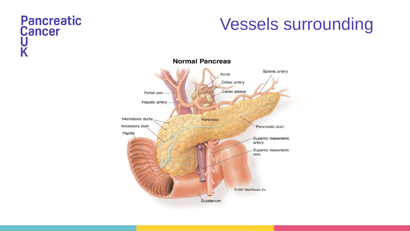#### Pancreatic **Cancer** U K

## Vessels surrounding

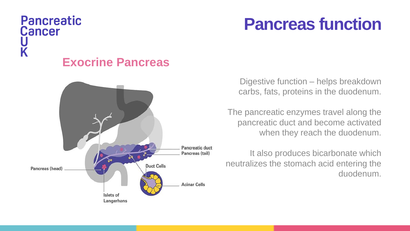## **Pancreatic Cancer** U<br>K **Exocrine Pancreas**



## **Pancreas function**

Digestive function – helps breakdown carbs, fats, proteins in the duodenum.

The pancreatic enzymes travel along the pancreatic duct and become activated when they reach the duodenum.

It also produces bicarbonate which neutralizes the stomach acid entering the duodenum.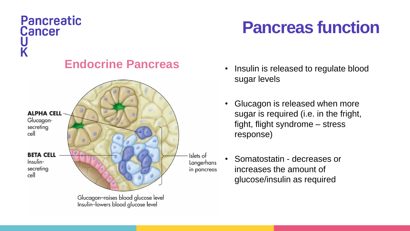## **Pancreatic Cancer** U<br>K

## **Endocrine Pancreas** • Insulin is released to regulate blood



# **Pancreas function**

- sugar levels
- Glucagon is released when more sugar is required (i.e. in the fright, fight, flight syndrome – stress response)
- Somatostatin decreases or increases the amount of glucose/insulin as required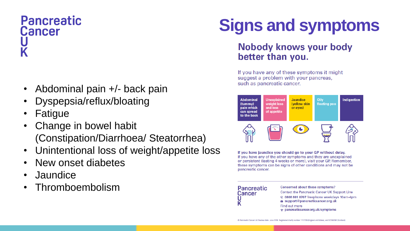# **Pancreatic Cancer**

- Abdominal pain +/- back pain
- Dyspepsia/reflux/bloating
- **Fatigue**
- Change in bowel habit (Constipation/Diarrhoea/ Steatorrhea)
- Unintentional loss of weight/appetite loss
- New onset diabetes
- Jaundice
- Thromboembolism

# **Signs and symptoms**

#### **Nobody knows your body** better than you.

If you have any of these symptoms it might suggest a problem with your pancreas, such as pancreatic cancer.



If you have jaundice you should go to your GP without delay. If you have any of the other symptoms and they are unexplained or persistent (lasting 4 weeks or more), visit your GP. Remember, these symptoms can be signs of other conditions and may not be pancreatic cancer.

### **Pancreatic** Cancer

#### Concerned about these symptoms? **Contact the Pancreatic Cancer UK Support Line** 0808 801 0707 freephone weekdays 10am-4pm support@pancreaticcancer.org.uk Find out more ⊜ pancreaticcancer.org.uk/symptoms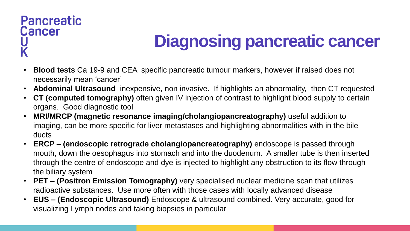#### **Pancreatic Cancer** U K

# **Diagnosing pancreatic cancer**

- **Blood tests** Ca 19-9 and CEA specific pancreatic tumour markers, however if raised does not necessarily mean 'cancer'
- **Abdominal Ultrasound** inexpensive, non invasive. If highlights an abnormality, then CT requested
- **CT (computed tomography)** often given IV injection of contrast to highlight blood supply to certain organs. Good diagnostic tool
- **MRI/MRCP (magnetic resonance imaging/cholangiopancreatography)** useful addition to imaging, can be more specific for liver metastases and highlighting abnormalities with in the bile ducts
- **ERCP – (endoscopic retrograde cholangiopancreatography)** endoscope is passed through mouth, down the oesophagus into stomach and into the duodenum. A smaller tube is then inserted through the centre of endoscope and dye is injected to highlight any obstruction to its flow through the biliary system
- **PET – (Positron Emission Tomography)** very specialised nuclear medicine scan that utilizes radioactive substances. Use more often with those cases with locally advanced disease
- **EUS – (Endoscopic Ultrasound)** Endoscope & ultrasound combined. Very accurate, good for visualizing Lymph nodes and taking biopsies in particular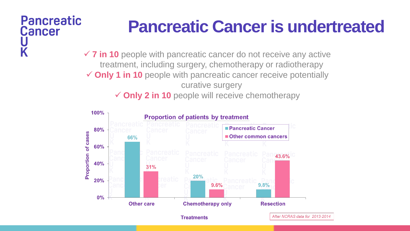## **Pancreatic Cancer** K

# **Pancreatic Cancer is undertreated**

 $\checkmark$  **7 in 10** people with pancreatic cancer do not receive any active treatment, including surgery, chemotherapy or radiotherapy **Only 1 in 10** people with pancreatic cancer receive potentially curative surgery **✓ Only 2 in 10** people will receive chemotherapy

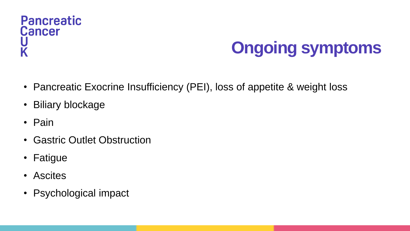#### **Pancreatic Cancer** U K

# **Ongoing symptoms**

- Pancreatic Exocrine Insufficiency (PEI), loss of appetite & weight loss
- Biliary blockage
- Pain
- Gastric Outlet Obstruction
- Fatigue
- Ascites
- Psychological impact